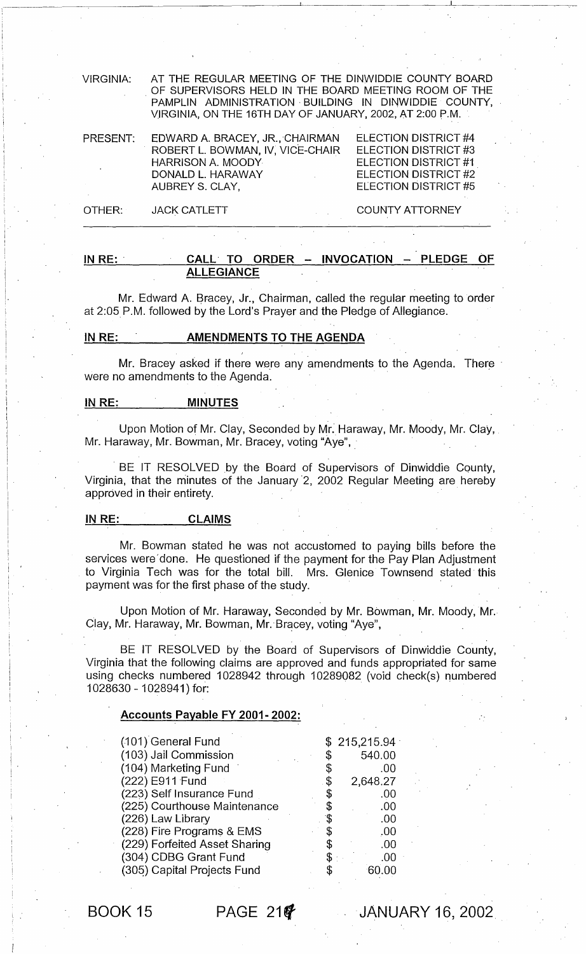VIRGINIA: AT THE REGULAR MEETING OF THE DINWIDDIE COUNTY BOARD . OF SUPERVISORS HELD IN THE BOARD MEETING ROOM OF THE PAMPLIN ADMINISTRATION· BUILDING IN DINWIDDIE COUNTY, VIRGINIA, ON THE 16TH DAY OF JANUARY, 2002, AT 2:00 P.M.

| PRESENT: | EDWARD A. BRACEY, JR., CHAIRMAN  | ELECTION DISTRICT #4 |
|----------|----------------------------------|----------------------|
|          | ROBERT L. BOWMAN, IV, VICE-CHAIR | ELECTION DISTRICT #3 |
|          | <b>HARRISON A. MOODY</b>         | ELECTION DISTRICT #1 |
|          | DONALD L. HARAWAY                | ELECTION DISTRICT #2 |
|          | AUBREY S. CLAY.                  | ELECTION DISTRICT #5 |
|          |                                  |                      |

OTHER: JACK CATLETT COUNTY ATTORNEY

JANUARY 16, 2002

#### IN RE: . CALL' TO ORDER INVOCATION - PLEDGE OF ALLEGIANCE

Mr. Edward A. Bracey, Jr., Chairman, called the regular meeting to order at 2:05 P.M. followed by the Lord's Prayer and the Pledge of Allegiance.

#### IN RE: AMENDMENTS TO THE AGENDA

Mr. Bracey asked if there were any amendments to the Agenda. There were no amendments to the Agenda.

#### IN RE: MINUTES

Upon Motion of Mr. Clay, Seconded by Mr. Haraway, Mr. Moody, Mr. Clay, Mr. Haraway, Mr. Bowman, Mr. Bracey, voting "Aye",

. BE IT RESOLVED by the Board of Supervisors of Dinwiddie County, Virginia, that the minutes of the January '2, 2002 Regular Meeting are hereby approved in their entirety.

#### IN RE: CLAIMS

I I 1 .

> Mr. Bowman stated he was not accustomed to paying bills before the services were'done. He questioned if the payment for the Pay Plan Adjustment to Virginia Tech was for the total bill. Mrs. Glenice Townsend stated' this payment was for the first phase of the study.

> Upon Motion of Mr. Haraway, Seconded by Mr. Bowman, Mr. Moody, Mr. Clay, Mr. Haraway, Mr. Bowman, Mr. Bracey, voting "Aye",

> BE IT RESOLVED by the Board of Supervisors of Dinwiddie County, Virginia that the following claims are approved and funds appropriated for same using checks numbered 1028942 through 10289082 (void check(s) numbered 1028630 - 1028941) for:

#### Accounts Payable FY 2001- 2002:

| (101) General Fund            |    | \$215,215.94 |
|-------------------------------|----|--------------|
| (103) Jail Commission         |    | 540.00       |
| (104) Marketing Fund          | \$ | .00          |
| (222) E911 Fund               | \$ | 2,648.27     |
| (223) Self Insurance Fund     | \$ | .00          |
| (225) Courthouse Maintenance  |    | .00          |
| (226) Law Library             | S  | .00          |
| (228) Fire Programs & EMS     |    | .00          |
| (229) Forfeited Asset Sharing |    | .00          |
| (304) CDBG Grant Fund         | S. | .00          |
| (305) Capital Projects Fund   |    |              |

BOOK 15 PAGE 21 $\mathscr{F}$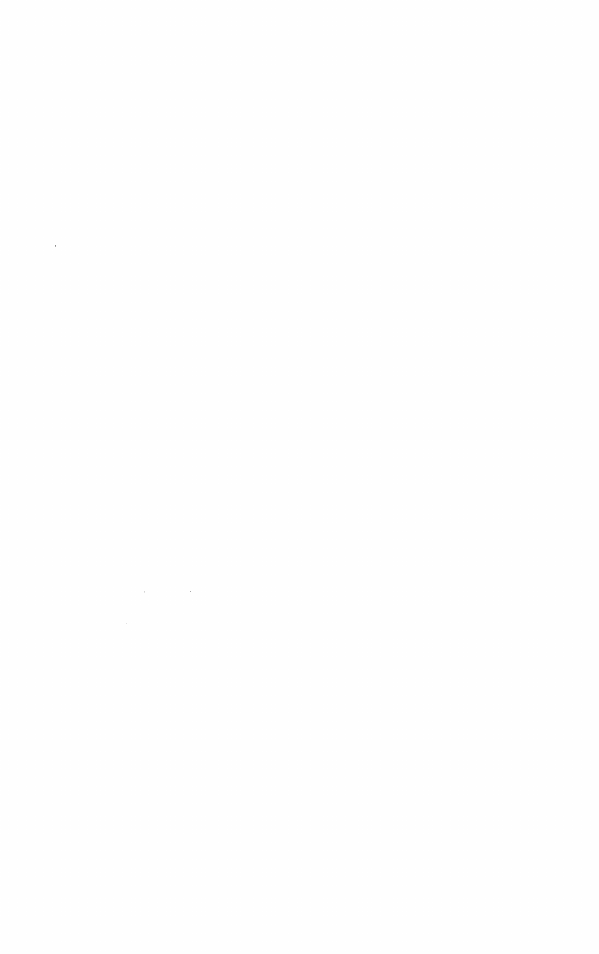$\label{eq:2.1} \frac{1}{\sqrt{2}}\sum_{i=1}^n\frac{1}{\sqrt{2}}\sum_{i=1}^n\frac{1}{\sqrt{2}}\sum_{i=1}^n\frac{1}{\sqrt{2}}\sum_{i=1}^n\frac{1}{\sqrt{2}}\sum_{i=1}^n\frac{1}{\sqrt{2}}\sum_{i=1}^n\frac{1}{\sqrt{2}}\sum_{i=1}^n\frac{1}{\sqrt{2}}\sum_{i=1}^n\frac{1}{\sqrt{2}}\sum_{i=1}^n\frac{1}{\sqrt{2}}\sum_{i=1}^n\frac{1}{\sqrt{2}}\sum_{i=1}^n\frac$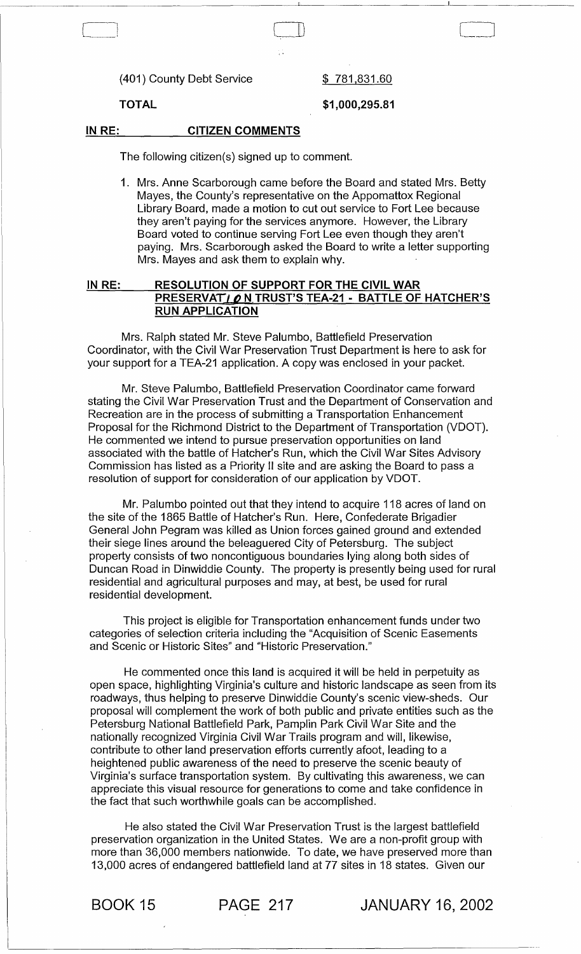(401) County Debt Service

#### \$ 781,831.60

**TOTAL** 

## \$1,000,295.81

#### IN RE: CITIZEN COMMENTS

The following citizen(s) signed up to comment.

1. Mrs. Anne Scarborough came before the Board and stated Mrs. Betty Mayes, the County's representative on the Appomattox Regional Library Board, made a motion to cut out service to Fort Lee because they aren't paying for the services anymore. However, the Library Board voted to continue serving Fort Lee even though they aren't paying. Mrs. Scarborough asked the Board to write a letter supporting Mrs. Mayes and ask them to explain why.

#### IN RE: RESOLUTION OF SUPPORT FOR THE CIVIL WAR PRESERVATLO N TRUST'S TEA-21 - BATTLE OF HATCHER'S RUN APPLICATION

Mrs. Ralph stated Mr. Steve Palumbo, Battlefield Preservation Coordinator, with the Civil War Preservation Trust Department is here to ask for your support for a TEA-21 application. A copy was enclosed in your packet.

Mr. Steve Palumbo, Battlefield Preservation Coordinator came forward stating the Civil War Preservation Trust and the Department of Conservation and Recreation are in the process of submitting a Transportation Enhancement Proposal for the Richmond District to the Department of Transportation (VDOT). He commented we intend to pursue preservation opportunities on land associated with the battle of Hatcher's Run, which the Civil War Sites Advisory Commission has listed as a Priority II site and are asking the Board to pass a resolution of support for consideration of our application by VDOT.

Mr. Palumbo pointed out that they intend to acquire 118 acres of land on the site of the 1865 Battle of Hatcher's Run. Here, Confederate Brigadier General John Pegram was killed as Union forces gained ground and extended their siege lines around the beleaguered City of Petersburg. The subject property consists of two noncontiguous boundaries lying along both sides of Duncan Road in Dinwiddie County. The property is presently being used for rural residential and agricultural purposes and may, at best, be used for rural residential development.

This project is eligible for Transportation enhancement funds under two categories of selection criteria including the "Acquisition of Scenic Easements and Scenic or Historic Sites" and "Historic Preservation."

He commented once this land is acquired it will be held in perpetuity as open space, highlighting Virginia's culture and historic landscape as seen from its roadways, thus helping to preserve Dinwiddie County's scenic view-sheds. Our proposal will complement the work of both public and private entities such as the Petersburg National Battlefield Park, Pamplin Park Civil War Site and the nationally recognized Virginia Civil War Trails program and will, likewise, contribute to other land preservation efforts currently afoot, leading to a heightened public awareness of the need to preserve the scenic beauty of Virginia's surface transportation system. By cultivating this awareness, we can appreciate this visual resource for generations to come and take confidence in the fact that such worthwhile goals can be accomplished.

He also stated the Civil War Preservation Trust is the largest battlefield preservation organization in the United States. We are a non-profit group with more than 36,000 members nationwide. To date, we have preserved more than 13,000 acres of endangered battlefield land at 77 sites in 18 states. Given our

BOOK 15 PAGE 217 JANUARY 16, 2002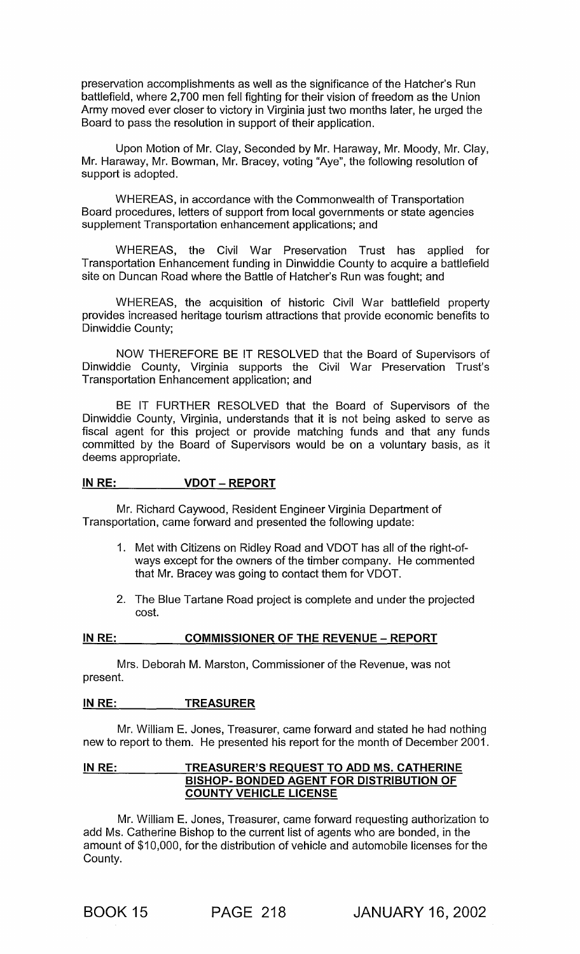preservation accomplishments as well as the significance of the Hatcher's Run battlefield, where 2,700 men fell fighting for their vision of freedom as the Union Army moved ever closer to victory in Virginia just two months later, he urged the Board to pass the resolution in support of their application.

Upon Motion of Mr. Clay, Seconded by Mr. Haraway, Mr. Moody, Mr. Clay, Mr. Haraway, Mr. Bowman, Mr. Bracey, voting "Aye", the following resolution of support is adopted.

WHEREAS, in accordance with the Commonwealth of Transportation Board procedures, letters of support from local governments or state agencies supplement Transportation enhancement applications; and

WHEREAS, the Civil War Preservation Trust has applied for Transportation Enhancement funding in Dinwiddie County to acquire a battlefield site on Duncan Road where the Battle of Hatcher's Run was fought; and

WHEREAS, the acquisition of historic Civil War battlefield property provides increased heritage tourism attractions that provide economic benefits to Dinwiddie County;

NOW THEREFORE BE IT RESOLVED that the Board of Supervisors of Dinwiddie County, Virginia supports the Civil War Preservation Trust's Transportation Enhancement application; and

BE IT FURTHER RESOLVED that the Board of Supervisors of the Dinwiddie County, Virginia, understands that it is not being asked to serve as fiscal agent for this project or provide matching funds and that any funds committed by the Board of Supervisors would be on a voluntary basis, as it deems appropriate.

#### INRE: VDOT - REPORT

Mr. Richard Caywood, Resident Engineer Virginia Department of Transportation, came forward and presented the following update:

- 1. Met with Citizens on Ridley Road and VDOT has all of the right-ofways except for the owners of the timber company. He commented that Mr. Bracey was going to contact them for VDOT.
- 2. The Blue Tartane Road project is complete and under the projected cost.

#### IN RE: COMMISSIONER OF THE REVENUE - REPORT

Mrs. Deborah M. Marston, Commissioner of the Revenue, was not present.

#### IN RE: TREASURER

Mr. William E. Jones, Treasurer, came forward and stated he had nothing new to report to them. He presented his report for the month of December 2001.

#### IN RE: TREASURER'S REQUEST TO ADD MS. CATHERINE BISHOP· BONDED AGENT FOR DISTRIBUTION OF COUNTY VEHICLE LICENSE

Mr. William E. Jones, Treasurer, came forward requesting authorization to add Ms. Catherine Bishop to the current list of agents who are bonded, in the amount of \$10,000, for the distribution of vehicle and automobile licenses for the County.

BOOK 15 PAGE 218 JANUARY 16, 2002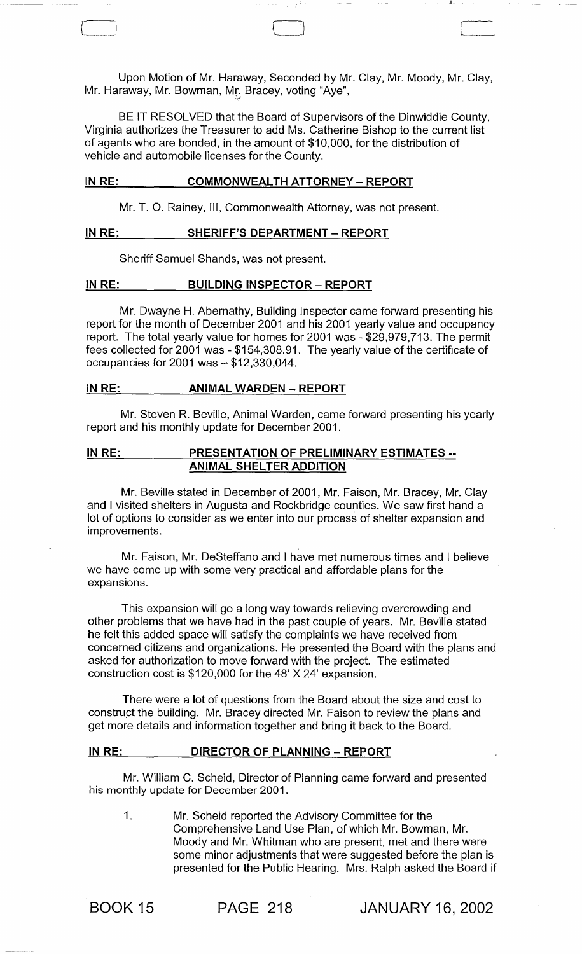Upon Motion of Mr. Haraway, Seconded by Mr. Clay, Mr. Moody, Mr. Clay, Mr. Haraway, Mr. Bowman, Mr.. Bracey, voting "Aye",

 $\Box$ 

\_\_\_\_\_\_\_\_\_\_\_\_\_\_\_\_ -----o--'L--~~-~----~---~ \_\_ <sup>~</sup>

BE IT RESOLVED that the Board of Supervisors of the Dinwiddie County, Virginia authorizes the Treasurer to add Ms. Catherine Bishop to the current list of agents who are bonded, in the amount of \$10,000, for the distribution of vehicle and automobile licenses for the County.

#### IN RE: COMMONWEALTH ATTORNEY – REPORT

Mr. T. O. Rainey, III, Commonwealth Attorney, was not present.

#### IN RE: SHERIFF'S DEPARTMENT - REPORT

 $~\cdot~$ 

Sheriff Samuel Shands, was not present.

#### IN RE: BUILDING INSPECTOR - REPORT

Mr. Dwayne H. Abernathy, Building Inspector came forward presenting his report for the month of December 2001 and his 2001 yearly value and occupancy report. The total yearly value for homes for 2001 was - \$29,979,713. The permit fees collected for 2001 was - \$154,308.91. The yearly value of the certificate of occupancies for  $2001$  was  $- $12,330,044$ .

#### IN RE: ANIMAL WARDEN - REPORT

Mr. Steven R. Beville, Animal Warden, came forward presenting his yearly report and his monthly update for December 2001.

#### IN RE: PRESENTATION OF PRELIMINARY ESTIMATES --ANIMAL SHELTER ADDITION

Mr. Beville stated in December of 2001, Mr. Faison, Mr. Bracey, Mr. Clay and I visited shelters in Augusta and Rockbridge counties. We saw first hand a lot of options to consider as we enter into our process of shelter expansion and improvements.

Mr. Faison, Mr. DeSteffano and I have met numerous times and I believe we have come up with some very practical and affordable plans for the expansions.

This expansion will go a long way towards relieving overcrowding and other problems that we have had in the past couple of years. Mr. Beville stated he felt this added space will satisfy the complaints we have received from concerned citizens and organizations. He presented the Board with the plans and asked for authorization to move forward with the project. The estimated construction cost is \$120,000 for the 48' X 24' expansion.

There were a lot of questions from the Board about the size and cost to construct the building. Mr. Bracey directed Mr. Faison to review the plans and get more details and information together and bring it back to the Board.

#### IN RE: DIRECTOR OF PLANNING - REPORT

Mr. William C. Scheid, Director of Planning came forward and presented his monthly update for December 2001.

1. Mr. Scheid reported the Advisory Committee for the Comprehensive Land Use Plan, of which Mr. Bowman, Mr. Moody and Mr. Whitman who are present, met and there were some minor adjustments that were suggested before the plan is presented for the Public Hearing. Mrs. Ralph asked the Board if

BOOK 15 PAGE 218 JANUARY 16, 2002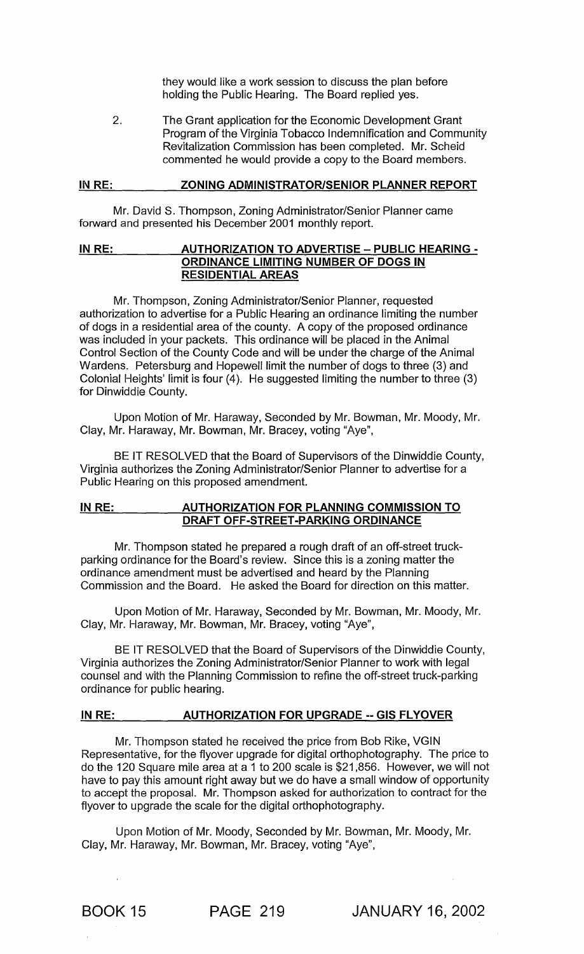they would like a work session to discuss the plan before holding the Public Hearing. The Board replied yes.

2. The Grant application for the Economic Development Grant Program of the Virginia Tobacco Indemnification and Community Revitalization Commission has been completed. Mr. Scheid commented he would provide a copy to the Board members.

#### IN RE: ZONING ADMINISTRATOR/SENIOR PLANNER REPORT

Mr. David S. Thompson, Zoning Administrator/Senior Planner came forward and presented his December 2001 monthly report.

## IN RE: \_\_ \_ \_ \_ AUTHORIZATION TO ADVERTISE - PUBLIC HEARING -ORDINANCE LIMITING NUMBER OF DOGS IN RESIDENTIAL AREAS

Mr. Thompson, Zoning Administrator/Senior Planner, requested authorization to advertise for a Public Hearing an ordinance limiting the number of dogs in a residential area of the county. A copy of the proposed ordinance was included in your packets. This ordinance will be placed in the Animal Control Section of the County Code and will be under the charge of the Animal Wardens. Petersburg and Hopewell limit the number of dogs to three (3) and Colonial Heights' limit is four (4). He suggested limiting the number to three (3) for Dinwiddie County.

Upon Motion of Mr. Haraway, Seconded by Mr. Bowman, Mr. Moody, Mr. Clay, Mr. Haraway, Mr. Bowman, Mr. Bracey, voting "Aye",

BE IT RESOLVED that the Board of Supervisors of the Dinwiddie County, Virginia authorizes the Zoning Administrator/Senior Planner to advertise for a Public Hearing on this proposed amendment.

#### INRE: AUTHORIZATION FOR PLANNING COMMISSION TO DRAFT OFF-STREET -PARKING ORDINANCE

Mr. Thompson stated he prepared a rough draft of an off-street truckparking ordinance for the Board's review. Since this is a zoning matter the ordinance amendment must be advertised and heard by the Planning Commission and the Board. He asked the Board for direction on this matter.

Upon Motion of Mr. Haraway, Seconded by Mr. Bowman, Mr. Moody, Mr. Clay, Mr. Haraway, Mr. Bowman, Mr. Bracey, voting "Aye",

BE IT RESOLVED that the Board of Supervisors of the Dinwiddie County, Virginia authorizes the Zoning Administrator/Senior Planner to work with legal counsel and with the Planning Commission to refine the off-street truck-parking ordinance for public hearing.

## IN RE: AUTHORIZATION FOR UPGRADE -- GIS FLYOVER

Mr. Thompson stated he received the price from Bob Rike, VGIN Representative, for the flyover upgrade for digital orthophotography. The price to do the 120 Square mile area at a 1 to 200 scale is \$21,856. However, we will not have to pay this amount right away but we do have a small window of opportunity to accept the proposal. Mr. Thompson asked for authorization to contract for the flyover to upgrade the scale for the digital orthophotography.

Upon Motion of Mr. Moody, Seconded by Mr. Bowman, Mr. Moody, Mr. Clay, Mr. Haraway, Mr. Bowman, Mr. Bracey, voting "Aye",

BOOK 15 PAGE 219 JANUARY 16, 2002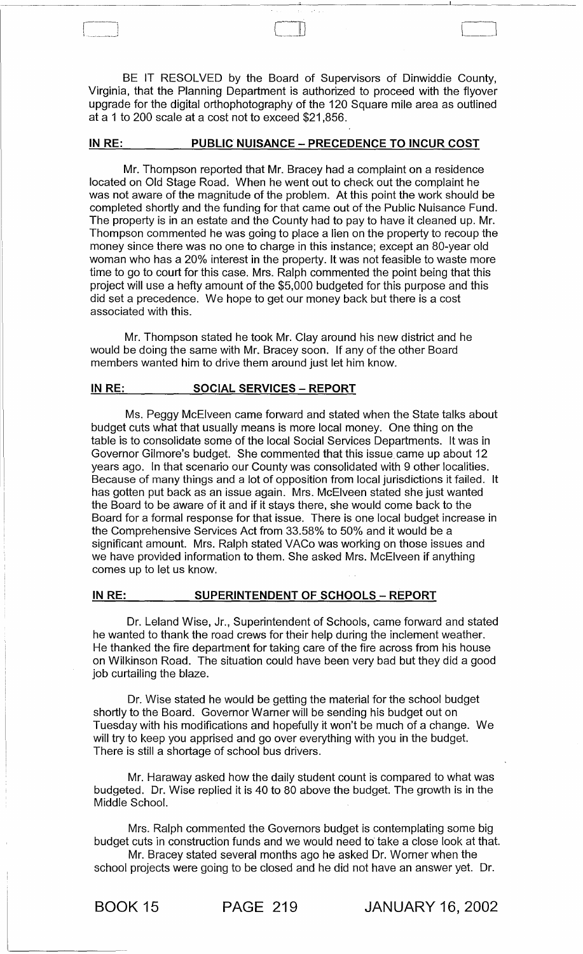BE IT RESOLVED by the Board of Supervisors of Dinwiddie County, Virginia, that the Planning Department is authorized to proceed with the flyover upgrade for the digital orthophotography of the 120 Square mile area as outlined at a 1 to 200 scale at a cost not to exceed \$21 ,856.

 $\Box$ 

#### IN RE: PUBLIC NUISANCE - PRECEDENCE TO INCUR COST

Mr. Thompson reported that Mr. Bracey had a complaint on a residence located on Old Stage Road. When he went out to check out the complaint he was not aware of the magnitude of the problem. At this point the work should be completed shortly and the funding for that came out of the Public Nuisance Fund. The property is in an estate and the County had to pay to have it cleaned up. Mr. Thompson commented he was going to place a lien on the property to recoup the money since there was no one to charge in this instance; except an 80-year old woman who has a 20% interest in the property. It was not feasible to waste more time to go to court for this case. Mrs. Ralph commented the point being that this project will use a hefty amount of the \$5,000 budgeted for this purpose and this did set a precedence. We hope to get our money back but there is a cost associated with this.

Mr. Thompson stated he took Mr. Clay around his new district and he would be doing the same with Mr. Bracey soon. If any of the other Board members wanted him to drive them around just let him know.

#### IN RE: SOCIAL SERVICES - REPORT

Ms. Peggy McElveen came forward and stated when the State talks about budget cuts what that usually means is more local money. One thing on the table is to consolidate some of the local Social Services Departments. It was in Governor Gilmore's budget. She commented that this issue. came up about 12 years ago. In that scenario our County was consolidated with 9 other localities. Because of many things and a lot of opposition from local jurisdictions it failed. It has gotten put back as an issue again. Mrs. McElveen stated she just wanted the Board to be aware of it and if it stays there, she would come back to the Board for a formal response for that issue. There is one local budget increase in the Comprehensive Services Act from 33.58% to 50% and it would be a significant amount. Mrs. Ralph stated VACo was working on those issues and we have provided information to them. She asked Mrs. McElveen if anything comes up to let us know.

#### IN RE: SUPERINTENDENT OF SCHOOLS - REPORT

Dr. Leland Wise, Jr., Superintendent of Schools, came forward and stated he wanted to thank the road crews for their help during the inclement weather. He thanked the fire department for taking care of the fire across from his house on Wilkinson Road. The situation could have been very bad but they did a good job curtailing the blaze.

Dr. Wise stated he would be getting the material for the school budget shortly to the Board. Governor Warner will be sending his budget out on Tuesday with his modifications and hopefully it won't be much of a change. We will try to keep you apprised and go over everything with you in the budget. There is still a shortage of school bus drivers.

Mr. Haraway asked how the daily student count is compared to what was budgeted. Dr. Wise replied it is 40 to 80 above the budget. The growth is in the Middle School.

Mrs. Ralph commented the Governors budget is contemplating some big budget cuts in construction funds and we would need to take a dose look at that.

Mr. Bracey stated several months ago he asked Dr. Worner when the school projects were going to be dosed and he did not have an answer yet. Dr.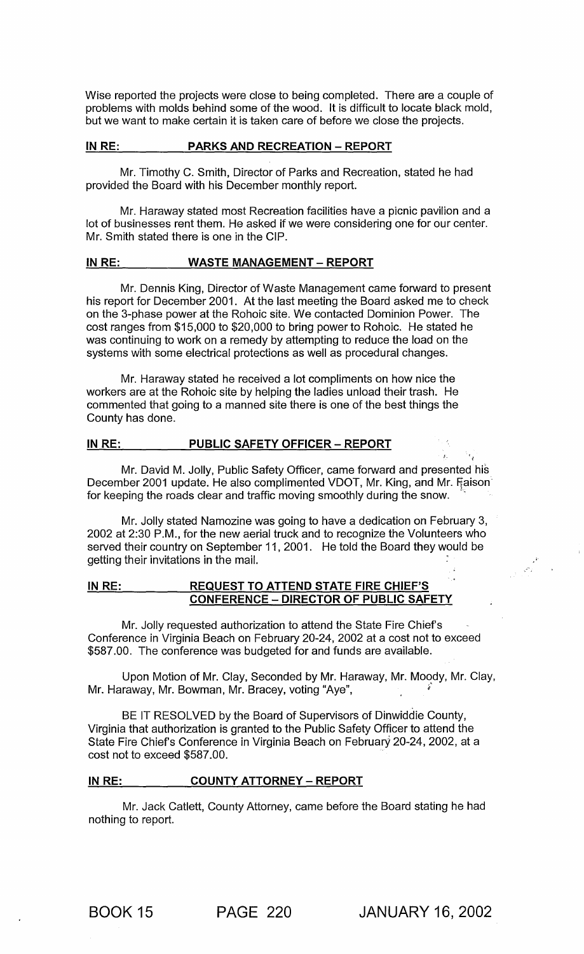Wise reported the projects were close to being completed. There are a couple of problems with molds behind some of the wood. It is difficult to locate black mold, but we want to make certain it is taken care of before we close the projects.

#### IN RE: PARKS AND RECREATION - REPORT

Mr. Timothy C. Smith, Director of Parks and Recreation, stated he had provided the Board with his December monthly report.

Mr. Haraway stated most Recreation facilities have a picnic pavilion and a lot of businesses rent them. He asked if we were considering one for our center. Mr. Smith stated there is one in the CIP.

#### IN RE: WASTE MANAGEMENT – REPORT

Mr. Dennis King, Director of Waste Management came forward to present his report for December 2001. At the last meeting the Board asked me to check on the 3-phase power at the Rohoic site. We contacted Dominion Power. The cost ranges from \$15,000 to \$20,000 to bring power to Rohoic. He stated he was continuing to work on a remedy by attempting to reduce the load on the systems with some electrical protections as well as procedural changes.

Mr. Haraway stated he received a lot compliments on how nice the workers are at the Rohoic site by helping the ladies unload their trash. He commented that going to a manned site there is one of the best things the County has done.

#### IN RE: PUBLIC SAFETY OFFICER - REPORT

Mr. David M. Jolly, Public Safety Officer, came forward and presented his December 2001 update. He also complimented VDOT, Mr. King, and Mr. Faison for keeping the roads clear and traffic moving smoothly during the snow.

Mr. Jolly stated Namozine was going to have a dedication on February 3, 2002 at 2:30 P.M., for the new aerial truck and to recognize the Volunteers who served their country on September 11, 2001. He told the Board they would be getting their invitations in the mail.

## IN RE: REQUEST TO ATTEND STATE FIRE CHIEF'S CONFERENCE - DIRECTOR OF PUBLIC SAFETY

Mr. Jolly requested authorization to attend the State Fire Chief's Conference in Virginia Beach on February 20-24, 2002 at a cost not to exceed \$587.00. The conference was budgeted for and funds are available.

Upon Motion of Mr. Clay, Seconded by Mr. Haraway, Mr. Moody, Mr. Clay, Mr. Haraway, Mr. Bowman, Mr. Bracey, voting "Aye", q'

BE IT RESOLVED by the Board of Supervisors of Dinwiddie County, Virginia that authorization is granted to the Public Safety Officer to attend the State Fire Chief's Conference in Virginia Beach on February 20-24, 2002, at a cost not to exceed \$587.00.

#### IN RE: COUNTY ATTORNEY - REPORT

Mr. Jack Catlett, County Attorney, came before the Board stating he had nothing to report.

BOOK 15 PAGE 220 JANUARY 16, 2002

'/

¥.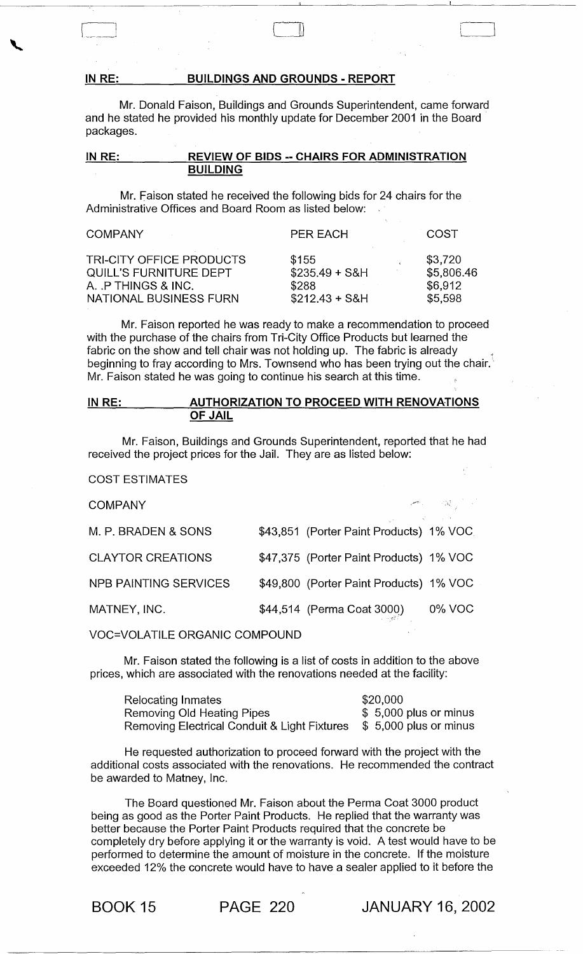#### IN RE: BUILDINGS AND GROUNDS - REPORT

Mr. Donald Faison, Buildings and Grounds Superintendent, came forward and he stated he provided his monthly update for December 2001 in the Board packages.

| IN RE: | <b>REVIEW OF BIDS -- CHAIRS FOR ADMINISTRATION</b> |
|--------|----------------------------------------------------|
|        | <b>BUILDING</b>                                    |

Mr. Faison stated he received the following bids for 24 chairs for the Administrative Offices and Board Room as listed below:

| TRI-CITY OFFICE PRODUCTS<br>\$155<br>$$235.49 + S&H$<br>QUILL'S FURNITURE DEPT<br>A. P THINGS & INC.<br>\$288<br>$$212.43 + S&H$<br>NATIONAL BUSINESS FURN | \$3,720<br>\$5,806.46<br>\$6,912<br>\$5,598 |
|------------------------------------------------------------------------------------------------------------------------------------------------------------|---------------------------------------------|

Mr. Faison reported he was ready to make a recommendation to proceed with the purchase of the chairs from Tri-City Office Products but learned the fabric on the show and tell chair was not holding up. The fabric is already beginning to fray according to Mrs. Townsend who has been trying out the chair.<sup>1</sup> Mr. Faison stated he was going to continue his search at this time.

#### IN RE: AUTHORIZATION TO PROCEED WITH RENOVATIONS OF JAIL

Mr. Faison, Buildings and Grounds Superintendent, reported that he had received the project prices for the Jail. They are as listed below:

COST ESTIMATES

**COMPANY**  $\mathbb{R}^n$  ,  $\mathbb{R}^n$  ,  $\mathbb{R}^n$  ,  $\mathbb{R}^n$  ,  $\mathbb{R}^n$  ,  $\mathbb{R}^n$  ,  $\mathbb{R}^n$  ,  $\mathbb{R}^n$  ,  $\mathbb{R}^n$  ,  $\mathbb{R}^n$  ,  $\mathbb{R}^n$  ,  $\mathbb{R}^n$  ,  $\mathbb{R}^n$  ,  $\mathbb{R}^n$  ,  $\mathbb{R}^n$  ,  $\mathbb{R}^n$  ,  $\mathbb$ 

r \_\_\_ ~

| M. P. BRADEN & SONS      | \$43,851 (Porter Paint Products) 1% VOC |        |
|--------------------------|-----------------------------------------|--------|
| <b>CLAYTOR CREATIONS</b> | \$47,375 (Porter Paint Products) 1% VOC |        |
| NPB PAINTING SERVICES    | \$49,800 (Porter Paint Products) 1% VOC |        |
| MATNEY, INC.             | \$44,514 (Perma Coat 3000)              | 0% VOC |

VOC=VOLATILE ORGANIC COMPOUND

Mr. Faison stated the following is a list of costs in addition to the above prices, which are associated with the renovations needed at the facility:

| <b>Relocating Inmates</b>                    | \$20,000               |
|----------------------------------------------|------------------------|
| Removing Old Heating Pipes                   | $$5,000$ plus or minus |
| Removing Electrical Conduit & Light Fixtures | $$5,000$ plus or minus |

He requested authorization to proceed forward with the project with the additional costs associated with the renovations. He recommended the contract be awarded to Matney, Inc.

The Board questioned Mr. Faison about the Perma Coat 3000 product being as good as the Porter Paint Products. He replied that the warranty was better because the Porter Paint Products required that the concrete be completely dry before applying it or the warranty is void. A test would have to be performed to determine the amount of moisture in the concrete. If the moisture exceeded 12% the concrete would have to have a sealer applied to it before the

BOOK 15 PAGE 220 JANUARY 16, 2002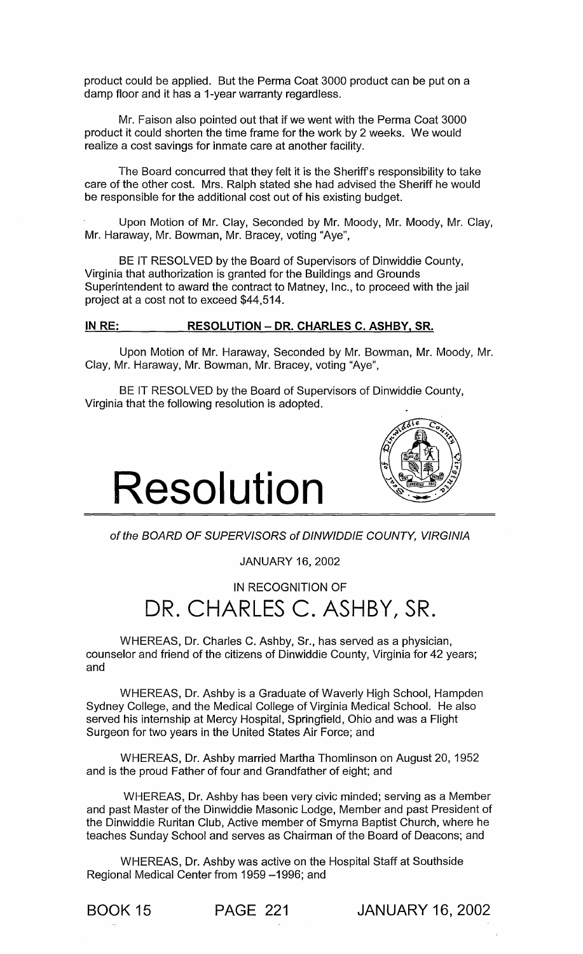product could be applied. But the Perma Coat 3000 product can be put on a damp floor and it has a 1-year warranty regardless.

Mr. Faison also pointed out that if we went with the Perma Coat 3000 product it could shorten the time frame for the work by 2 weeks. We would realize a cost savings for inmate care at another facility.

The Board concurred that they felt it is the Sheriff's responsibility to take care of the other cost. Mrs. Ralph stated she had advised the Sheriff he would be responsible for the additional cost out of his existing budget.

Upon Motion of Mr. Clay, Seconded by Mr. Moody, Mr. Moody, Mr. Clay, Mr. Haraway, Mr. Bowman, Mr. Bracey, voting "Aye",

BE IT RESOLVED by the Board of Supervisors of Dinwiddie County, Virginia that authorization is granted for the Buildings and Grounds Superintendent to award the contract to Matney, Inc., to proceed with the jail project at a cost not to exceed \$44,514.

#### IN RE: RESOLUTION - DR. CHARLES C. ASHBY, SR.

Upon Motion of Mr. Haraway, Seconded by Mr. Bowman, Mr. Moody, Mr. Clay, Mr. Haraway, Mr. Bowman, Mr. Bracey, voting "Aye",

BE IT RESOLVED by the Board of Supervisors of Dinwiddie County, Virginia that the following resolution is adopted.

# **Resolution**



of the BOARD OF SUPERVISORS of DINWIDDIE COUNTY, VIRGINIA

JANUARY 16, 2002

## IN RECOGNITION OF DR. CHARLES C. ASHBY, SR.

WHEREAS, Dr. Charles C. Ashby, Sr., has served as a physician, counselor and friend of the citizens of Dinwiddie County, Virginia for 42 years; and

WHEREAS, Dr. Ashby is a Graduate of Waverly High School, Hampden Sydney College, and the Medical College of Virginia Medical School. He also served his internship at Mercy Hospital, Springfield, Ohio and was a Flight Surgeon for two years in the United States Air Force; and

WHEREAS, Dr. Ashby married Martha Thomlinson on August 20, 1952 and is the proud Father of four and Grandfather of eight; and

WHEREAS, Dr. Ashby has been very civic minded; serving as a Member and past Master of the Dinwiddie Masonic Lodge, Member and past President of the Dinwiddie Ruritan Club, Active member of Smyrna Baptist Church, where he teaches Sunday School and serves as Chairman of the Board of Deacons; and

WHEREAS, Dr. Ashby was active on the Hospital Staff at Southside Regional Medical Center from 1959 -1996; and

BOOK 15 PAGE 221 JANUARY 16, 2002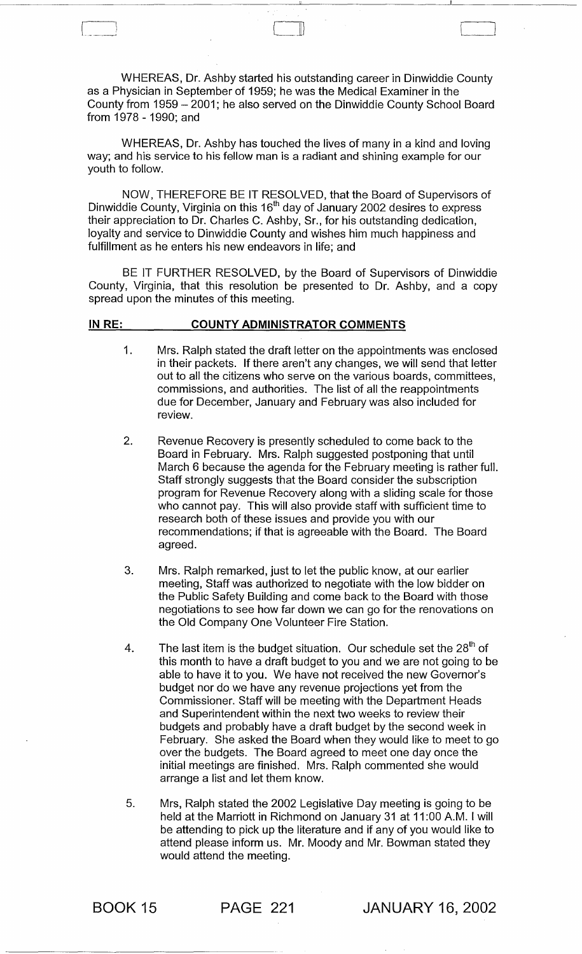WHEREAS, Dr. Ashby started his outstanding career in Dinwiddie County as a Physician in September of 1959; he was the Medical Examiner in the County from 1959 - 2001; he also served on the Dinwiddie County School Board from 1978 - 1990; and

WHEREAS, Dr. Ashby has touched the lives of many in a kind and loving way; and his service to his fellow man is a radiant and shining example for our youth to follow.

NOW, THEREFORE BE IT RESOLVED, that the Board of Supervisors of Dinwiddie County, Virginia on this 16<sup>th</sup> day of January 2002 desires to express their appreciation to Dr. Charles C. Ashby, Sr., for his outstanding dedication, loyalty and service to Dinwiddie County and wishes him much happiness and fulfillment as he enters his new endeavors in life; and

BE IT FURTHER RESOLVED, by the Board of Supervisors of Dinwiddie County, Virginia, that this resolution be presented to Dr. Ashby, and a copy spread upon the minutes of this meeting.

#### IN RE: COUNTY ADMINISTRATOR COMMENTS

- 1. Mrs. Ralph stated the draft letter on the appointments was enclosed in their packets. If there aren't any changes, we will send that letter out to all the citizens who serve on the various boards, committees, commissions, and authorities. The list of all the reappointments due for December, January and February was also included for review.
- 2. Revenue Recovery is presently scheduled to come back to the Board in February. Mrs. Ralph suggested postponing that until March 6 because the agenda for the February meeting is rather full. Staff strongly suggests that the Board consider the subscription program for Revenue Recovery along with a sliding scale for those who cannot pay. This will also provide staff with sufficient time to research both of these issues and provide you with our recommendations; if that is agreeable with the Board. The Board agreed.
- 3. Mrs. Ralph remarked, just to let the public know, at our earlier meeting, Staff was authorized to negotiate with the low bidder on the Public Safety Building and come back to the Board with those negotiations to see how far down we can go for the renovations on the Old Company One Volunteer Fire Station.
- 4. The last item is the budget situation. Our schedule set the  $28<sup>th</sup>$  of this month to have a draft budget to you and we are not going to be able to have it to you. We have not received the new Governor's budget nor do we have any revenue projections yet from the Commissioner. Staff will be meeting with the Department Heads and Superintendent within the next two weeks to review their budgets and probably have a draft budget by the second week in February. She asked the Board when they would like to meet to go over the budgets. The Board agreed to meet one day once the initial meetings are finished. Mrs. Ralph commented she would arrange a list and let them know.
- 5. Mrs, Ralph stated the 2002 Legislative Day meeting is going to be held at the Marriott in Richmond on January 31 at 11:00 A.M. I will be attending to pick up the literature and if any of you would like to attend please inform us. Mr. Moody and Mr. Bowman stated they would attend the meeting.

[----~

BOOK 15 PAGE 221 JANUARY 16, 2002